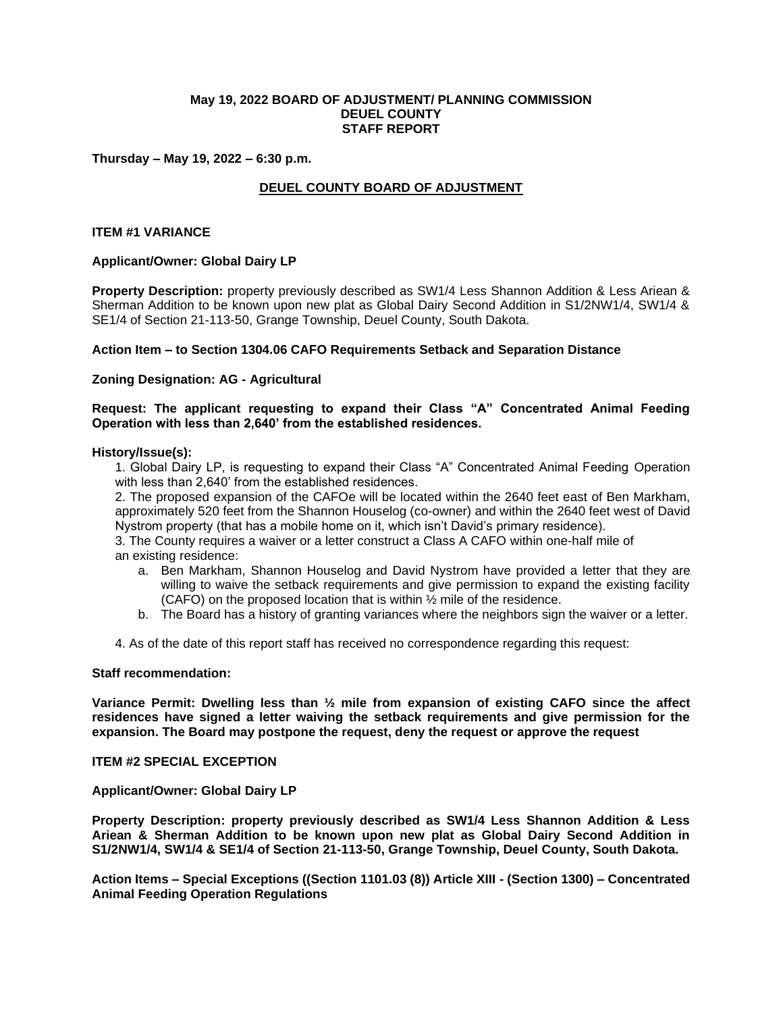## **May 19, 2022 BOARD OF ADJUSTMENT/ PLANNING COMMISSION DEUEL COUNTY STAFF REPORT**

## **Thursday – May 19, 2022 – 6:30 p.m.**

# **DEUEL COUNTY BOARD OF ADJUSTMENT**

## **ITEM #1 VARIANCE**

## **Applicant/Owner: Global Dairy LP**

**Property Description:** property previously described as SW1/4 Less Shannon Addition & Less Ariean & Sherman Addition to be known upon new plat as Global Dairy Second Addition in S1/2NW1/4, SW1/4 & SE1/4 of Section 21-113-50, Grange Township, Deuel County, South Dakota.

## **Action Item – to Section 1304.06 CAFO Requirements Setback and Separation Distance**

# **Zoning Designation: AG - Agricultural**

**Request: The applicant requesting to expand their Class "A" Concentrated Animal Feeding Operation with less than 2,640' from the established residences.** 

### **History/Issue(s):**

1. Global Dairy LP, is requesting to expand their Class "A" Concentrated Animal Feeding Operation with less than 2,640' from the established residences.

2. The proposed expansion of the CAFOe will be located within the 2640 feet east of Ben Markham, approximately 520 feet from the Shannon Houselog (co-owner) and within the 2640 feet west of David Nystrom property (that has a mobile home on it, which isn't David's primary residence).

3. The County requires a waiver or a letter construct a Class A CAFO within one-half mile of an existing residence:

- a. Ben Markham, Shannon Houselog and David Nystrom have provided a letter that they are willing to waive the setback requirements and give permission to expand the existing facility (CAFO) on the proposed location that is within  $\frac{1}{2}$  mile of the residence.
- b. The Board has a history of granting variances where the neighbors sign the waiver or a letter.
- 4. As of the date of this report staff has received no correspondence regarding this request:

### **Staff recommendation:**

**Variance Permit: Dwelling less than ½ mile from expansion of existing CAFO since the affect residences have signed a letter waiving the setback requirements and give permission for the expansion. The Board may postpone the request, deny the request or approve the request**

# **ITEM #2 SPECIAL EXCEPTION**

### **Applicant/Owner: Global Dairy LP**

**Property Description: property previously described as SW1/4 Less Shannon Addition & Less Ariean & Sherman Addition to be known upon new plat as Global Dairy Second Addition in S1/2NW1/4, SW1/4 & SE1/4 of Section 21-113-50, Grange Township, Deuel County, South Dakota.**

**Action Items – Special Exceptions ((Section 1101.03 (8)) Article XIII - (Section 1300) – Concentrated Animal Feeding Operation Regulations**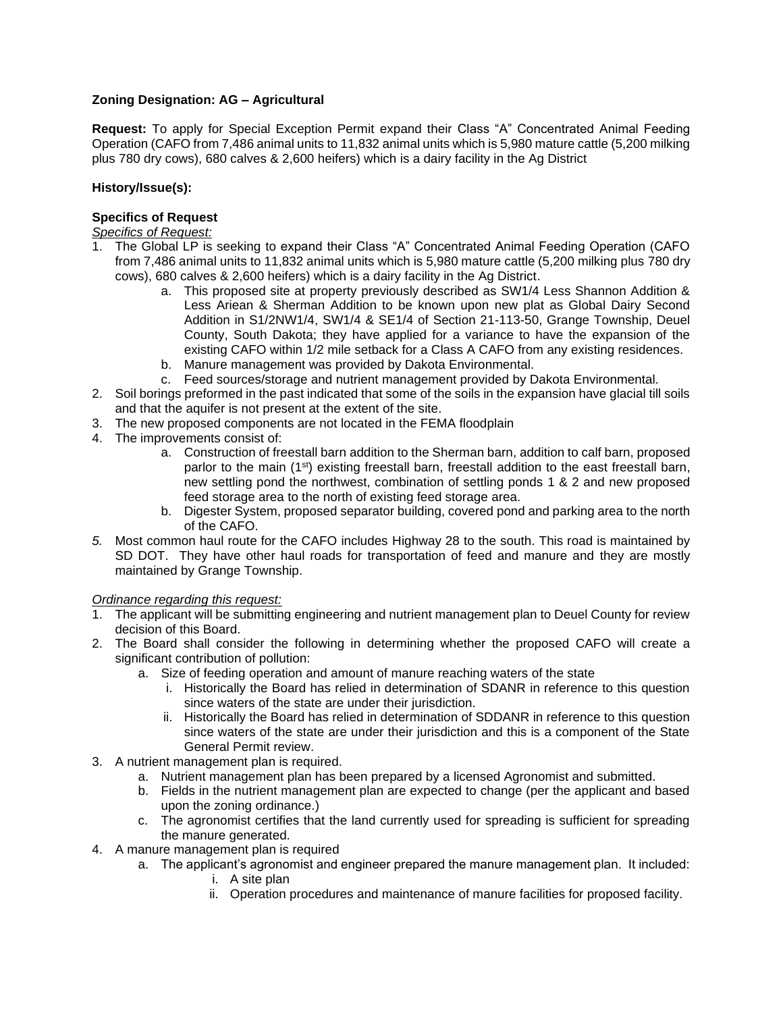# **Zoning Designation: AG – Agricultural**

**Request:** To apply for Special Exception Permit expand their Class "A" Concentrated Animal Feeding Operation (CAFO from 7,486 animal units to 11,832 animal units which is 5,980 mature cattle (5,200 milking plus 780 dry cows), 680 calves & 2,600 heifers) which is a dairy facility in the Ag District

# **History/Issue(s):**

# **Specifics of Request**

*Specifics of Request:*

- 1. The Global LP is seeking to expand their Class "A" Concentrated Animal Feeding Operation (CAFO from 7,486 animal units to 11,832 animal units which is 5,980 mature cattle (5,200 milking plus 780 dry cows), 680 calves & 2,600 heifers) which is a dairy facility in the Ag District.
	- a. This proposed site at property previously described as SW1/4 Less Shannon Addition & Less Ariean & Sherman Addition to be known upon new plat as Global Dairy Second Addition in S1/2NW1/4, SW1/4 & SE1/4 of Section 21-113-50, Grange Township, Deuel County, South Dakota; they have applied for a variance to have the expansion of the existing CAFO within 1/2 mile setback for a Class A CAFO from any existing residences.
	- b. Manure management was provided by Dakota Environmental.
	- c. Feed sources/storage and nutrient management provided by Dakota Environmental.
- 2. Soil borings preformed in the past indicated that some of the soils in the expansion have glacial till soils and that the aquifer is not present at the extent of the site.
- 3. The new proposed components are not located in the FEMA floodplain
- 4. The improvements consist of:
	- a. Construction of freestall barn addition to the Sherman barn, addition to calf barn, proposed parlor to the main (1<sup>st</sup>) existing freestall barn, freestall addition to the east freestall barn, new settling pond the northwest, combination of settling ponds 1 & 2 and new proposed feed storage area to the north of existing feed storage area.
	- b. Digester System, proposed separator building, covered pond and parking area to the north of the CAFO.
- *5.* Most common haul route for the CAFO includes Highway 28 to the south. This road is maintained by SD DOT. They have other haul roads for transportation of feed and manure and they are mostly maintained by Grange Township.

## *Ordinance regarding this request:*

- 1. The applicant will be submitting engineering and nutrient management plan to Deuel County for review decision of this Board.
- 2. The Board shall consider the following in determining whether the proposed CAFO will create a significant contribution of pollution:
	- a. Size of feeding operation and amount of manure reaching waters of the state
		- i. Historically the Board has relied in determination of SDANR in reference to this question since waters of the state are under their jurisdiction.
		- ii. Historically the Board has relied in determination of SDDANR in reference to this question since waters of the state are under their jurisdiction and this is a component of the State General Permit review.
- 3. A nutrient management plan is required.
	- a. Nutrient management plan has been prepared by a licensed Agronomist and submitted.
	- b. Fields in the nutrient management plan are expected to change (per the applicant and based upon the zoning ordinance.)
	- c. The agronomist certifies that the land currently used for spreading is sufficient for spreading the manure generated.
- 4. A manure management plan is required
	- a. The applicant's agronomist and engineer prepared the manure management plan. It included:
		- i. A site plan
			- ii. Operation procedures and maintenance of manure facilities for proposed facility.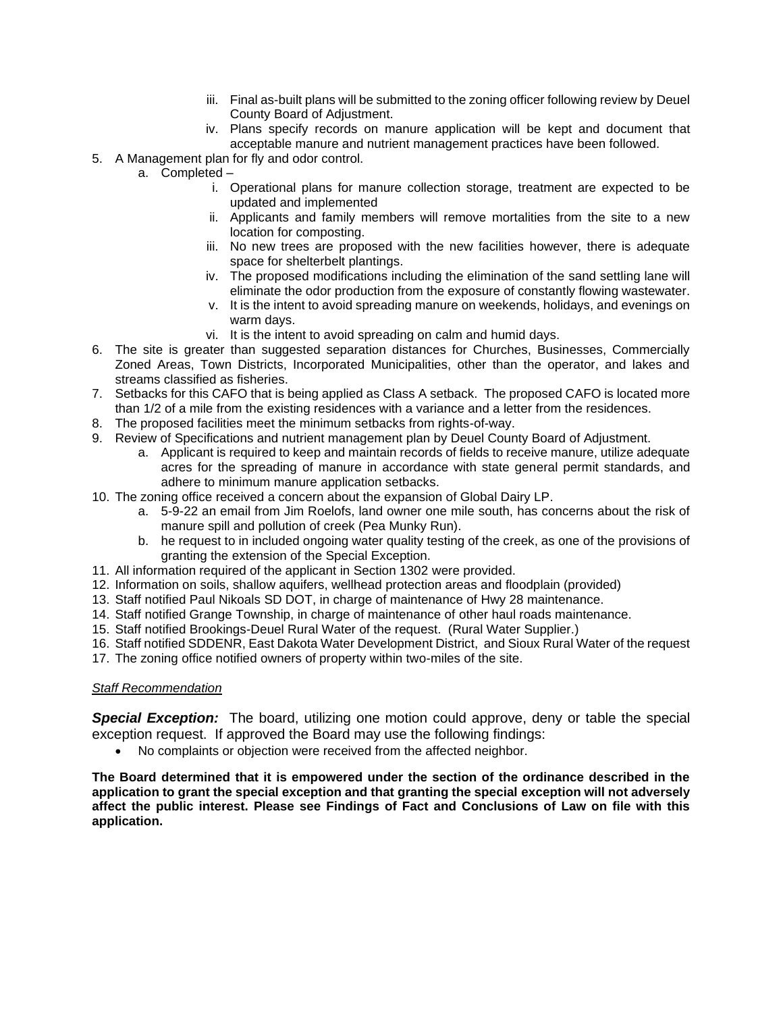- iii. Final as-built plans will be submitted to the zoning officer following review by Deuel County Board of Adjustment.
- iv. Plans specify records on manure application will be kept and document that acceptable manure and nutrient management practices have been followed.
- 5. A Management plan for fly and odor control.
	- a. Completed
		- i. Operational plans for manure collection storage, treatment are expected to be updated and implemented
		- ii. Applicants and family members will remove mortalities from the site to a new location for composting.
		- iii. No new trees are proposed with the new facilities however, there is adequate space for shelterbelt plantings.
		- iv. The proposed modifications including the elimination of the sand settling lane will eliminate the odor production from the exposure of constantly flowing wastewater.
		- v. It is the intent to avoid spreading manure on weekends, holidays, and evenings on warm days.
		- vi. It is the intent to avoid spreading on calm and humid days.
- 6. The site is greater than suggested separation distances for Churches, Businesses, Commercially Zoned Areas, Town Districts, Incorporated Municipalities, other than the operator, and lakes and streams classified as fisheries.
- 7. Setbacks for this CAFO that is being applied as Class A setback. The proposed CAFO is located more than 1/2 of a mile from the existing residences with a variance and a letter from the residences.
- 8. The proposed facilities meet the minimum setbacks from rights-of-way.
- 9. Review of Specifications and nutrient management plan by Deuel County Board of Adjustment.
	- a. Applicant is required to keep and maintain records of fields to receive manure, utilize adequate acres for the spreading of manure in accordance with state general permit standards, and adhere to minimum manure application setbacks.
- 10. The zoning office received a concern about the expansion of Global Dairy LP.
	- a. 5-9-22 an email from Jim Roelofs, land owner one mile south, has concerns about the risk of manure spill and pollution of creek (Pea Munky Run).
	- b. he request to in included ongoing water quality testing of the creek, as one of the provisions of granting the extension of the Special Exception.
- 11. All information required of the applicant in Section 1302 were provided.
- 12. Information on soils, shallow aquifers, wellhead protection areas and floodplain (provided)
- 13. Staff notified Paul Nikoals SD DOT, in charge of maintenance of Hwy 28 maintenance.
- 14. Staff notified Grange Township, in charge of maintenance of other haul roads maintenance.
- 15. Staff notified Brookings-Deuel Rural Water of the request. (Rural Water Supplier.)
- 16. Staff notified SDDENR, East Dakota Water Development District, and Sioux Rural Water of the request
- 17. The zoning office notified owners of property within two-miles of the site.

## *Staff Recommendation*

**Special Exception:** The board, utilizing one motion could approve, deny or table the special exception request. If approved the Board may use the following findings:

• No complaints or objection were received from the affected neighbor.

**The Board determined that it is empowered under the section of the ordinance described in the application to grant the special exception and that granting the special exception will not adversely affect the public interest. Please see Findings of Fact and Conclusions of Law on file with this application.**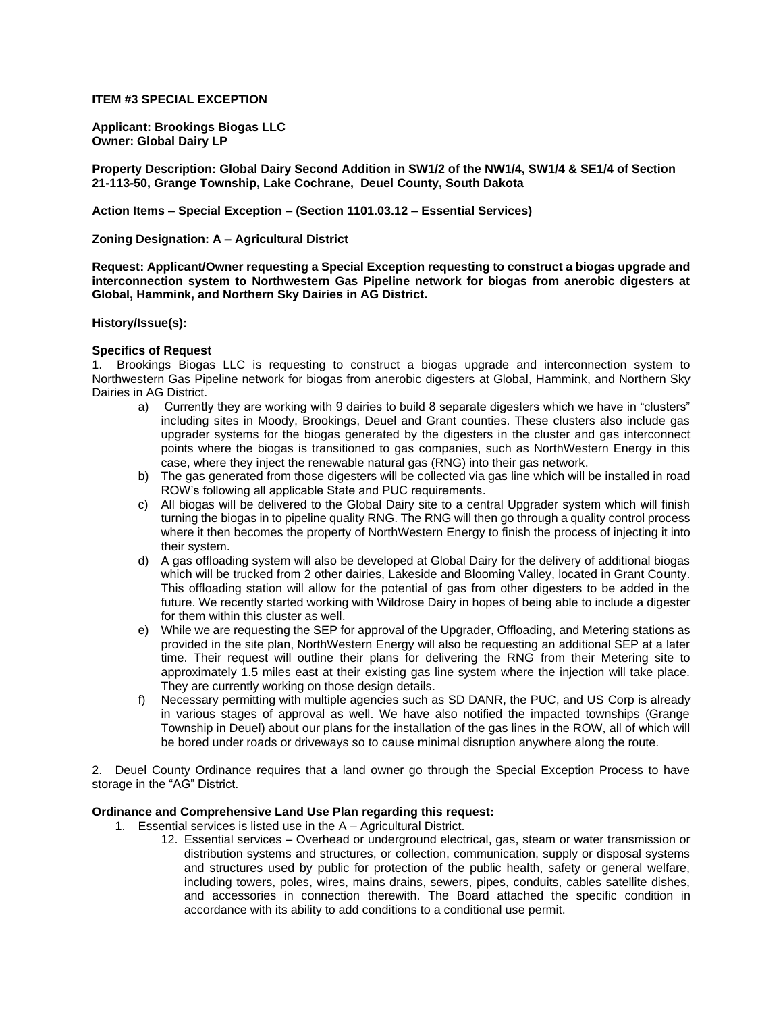## **ITEM #3 SPECIAL EXCEPTION**

**Applicant: Brookings Biogas LLC Owner: Global Dairy LP**

**Property Description: Global Dairy Second Addition in SW1/2 of the NW1/4, SW1/4 & SE1/4 of Section 21-113-50, Grange Township, Lake Cochrane, Deuel County, South Dakota**

**Action Items – Special Exception – (Section 1101.03.12 – Essential Services)**

**Zoning Designation: A – Agricultural District** 

**Request: Applicant/Owner requesting a Special Exception requesting to construct a biogas upgrade and interconnection system to Northwestern Gas Pipeline network for biogas from anerobic digesters at Global, Hammink, and Northern Sky Dairies in AG District.** 

### **History/Issue(s):**

### **Specifics of Request**

1. Brookings Biogas LLC is requesting to construct a biogas upgrade and interconnection system to Northwestern Gas Pipeline network for biogas from anerobic digesters at Global, Hammink, and Northern Sky Dairies in AG District.

- a) Currently they are working with 9 dairies to build 8 separate digesters which we have in "clusters" including sites in Moody, Brookings, Deuel and Grant counties. These clusters also include gas upgrader systems for the biogas generated by the digesters in the cluster and gas interconnect points where the biogas is transitioned to gas companies, such as NorthWestern Energy in this case, where they inject the renewable natural gas (RNG) into their gas network.
- b) The gas generated from those digesters will be collected via gas line which will be installed in road ROW's following all applicable State and PUC requirements.
- c) All biogas will be delivered to the Global Dairy site to a central Upgrader system which will finish turning the biogas in to pipeline quality RNG. The RNG will then go through a quality control process where it then becomes the property of NorthWestern Energy to finish the process of injecting it into their system.
- d) A gas offloading system will also be developed at Global Dairy for the delivery of additional biogas which will be trucked from 2 other dairies, Lakeside and Blooming Valley, located in Grant County. This offloading station will allow for the potential of gas from other digesters to be added in the future. We recently started working with Wildrose Dairy in hopes of being able to include a digester for them within this cluster as well.
- e) While we are requesting the SEP for approval of the Upgrader, Offloading, and Metering stations as provided in the site plan, NorthWestern Energy will also be requesting an additional SEP at a later time. Their request will outline their plans for delivering the RNG from their Metering site to approximately 1.5 miles east at their existing gas line system where the injection will take place. They are currently working on those design details.
- f) Necessary permitting with multiple agencies such as SD DANR, the PUC, and US Corp is already in various stages of approval as well. We have also notified the impacted townships (Grange Township in Deuel) about our plans for the installation of the gas lines in the ROW, all of which will be bored under roads or driveways so to cause minimal disruption anywhere along the route.

2. Deuel County Ordinance requires that a land owner go through the Special Exception Process to have storage in the "AG" District.

## **Ordinance and Comprehensive Land Use Plan regarding this request:**

- 1. Essential services is listed use in the A Agricultural District.
	- 12. Essential services Overhead or underground electrical, gas, steam or water transmission or distribution systems and structures, or collection, communication, supply or disposal systems and structures used by public for protection of the public health, safety or general welfare, including towers, poles, wires, mains drains, sewers, pipes, conduits, cables satellite dishes, and accessories in connection therewith. The Board attached the specific condition in accordance with its ability to add conditions to a conditional use permit.